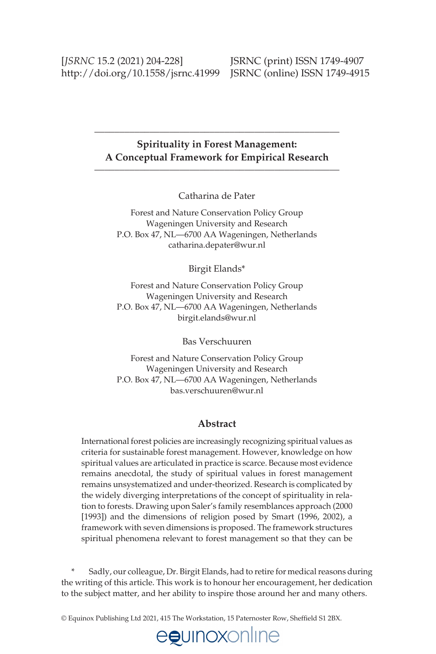#### **Spirituality in Forest Management: A Conceptual Framework for Empirical Research** \_\_\_\_\_\_\_\_\_\_\_\_\_\_\_\_\_\_\_\_\_\_\_\_\_\_\_\_\_\_\_\_\_\_\_\_\_\_\_\_\_\_\_\_\_\_\_\_\_

\_\_\_\_\_\_\_\_\_\_\_\_\_\_\_\_\_\_\_\_\_\_\_\_\_\_\_\_\_\_\_\_\_\_\_\_\_\_\_\_\_\_\_\_\_\_\_\_\_

Catharina de Pater

Forest and Nature Conservation Policy Group Wageningen University and Research P.O. Box 47, NL—6700 AA Wageningen, Netherlands [catharina.depater@wur.nl](mailto:catharina.depater@wur.nl)

Birgit Elands\*

Forest and Nature Conservation Policy Group Wageningen University and Research P.O. Box 47, NL—6700 AA Wageningen, Netherlands [birgit.elands@wur.nl](mailto:birgit.elands@wur.nl) 

Bas Verschuuren

Forest and Nature Conservation Policy Group Wageningen University and Research P.O. Box 47, NL—6700 AA Wageningen, Netherlands [bas.verschuuren@wur.nl](mailto:bas.verschuuren@wur.nl) 

#### **Abstract**

International forest policies are increasingly recognizing spiritual values as criteria for sustainable forest management. However, knowledge on how spiritual values are articulated in practice is scarce. Because most evidence remains anecdotal, the study of spiritual values in forest management remains unsystematized and under-theorized. Research is complicated by the widely diverging interpretations of the concept of spirituality in relation to forests. Drawing upon Saler's family resemblances approach (2000 [1993]) and the dimensions of religion posed by Smart (1996, 2002), a framework with seven dimensions is proposed. The framework structures spiritual phenomena relevant to forest management so that they can be

Sadly, our colleague, Dr. Birgit Elands, had to retire for medical reasons during the writing of this article. This work is to honour her encouragement, her dedication to the subject matter, and her ability to inspire those around her and many others.

© Equinox Publishing Ltd 2021, 415 The Workstation, 15 Paternoster Row, Shefleld S1 2BX.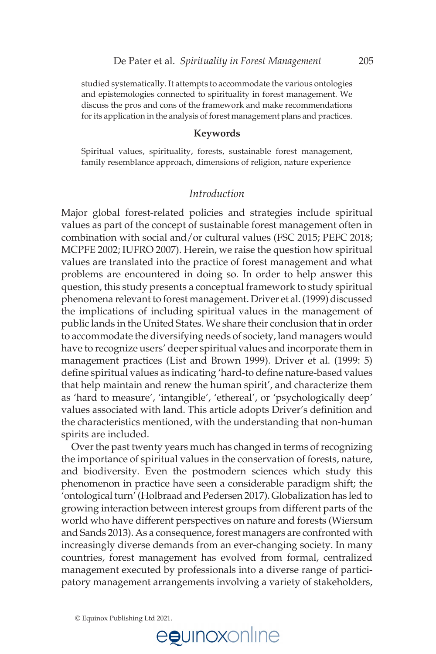studied systematically. It attempts to accommodate the various ontologies and epistemologies connected to spirituality in forest management. We discuss the pros and cons of the framework and make recommendations for its application in the analysis of forest management plans and practices.

**Keywords**<br>Spiritual values, spirituality, forests, sustainable forest management, family resemblance approach, dimensions of religion, nature experience

#### *Introduction*

Major global forest-related policies and strategies include spiritual values as part of the concept of sustainable forest management often in combination with social and/or cultural values (FSC 2015; PEFC 2018; MCPFE 2002; IUFRO 2007). Herein, we raise the question how spiritual values are translated into the practice of forest management and what problems are encountered in doing so. In order to help answer this question, this study presents a conceptual framework to study spiritual phenomena relevant to forest management. Driver et al. (1999) discussed the implications of including spiritual values in the management of public lands in the United States. We share their conclusion that in order to accommodate the diversifying needs of society, land managers would have to recognize users' deeper spiritual values and incorporate them in management practices (List and Brown 1999). Driver et al. (1999: 5) define spiritual values as indicating 'hard-to define nature-based values that help maintain and renew the human spirit', and characterize them as 'hard to measure', 'intangible', 'ethereal', or 'psychologically deep' values associated with land. This article adopts Driver's definition and the characteristics mentioned, with the understanding that non-human spirits are included.

 Over the past twenty years much has changed in terms of recognizing the importance of spiritual values in the conservation of forests, nature, and biodiversity. Even the postmodern sciences which study this phenomenon in practice have seen a considerable paradigm shift; the 'ontological turn' (Holbraad and Pedersen 2017). Globalization has led to growing interaction between interest groups from different parts of the world who have different perspectives on nature and forests (Wiersum and Sands 2013). As a consequence, forest managers are confronted with increasingly diverse demands from an ever-changing society. In many countries, forest management has evolved from formal, centralized management executed by professionals into a diverse range of participatory management arrangements involving a variety of stakeholders,

© Equinox Publishing Ltd 2021.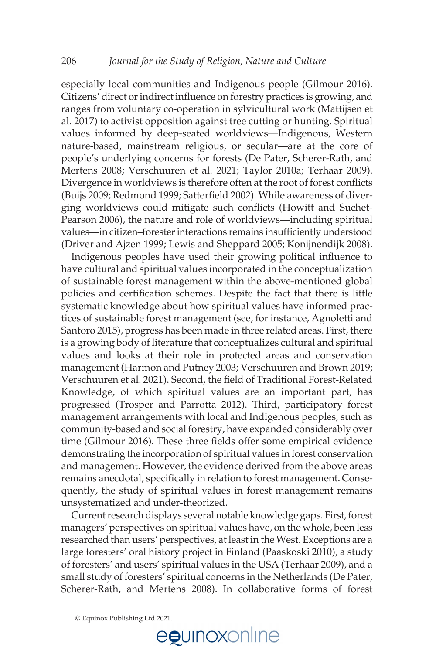especially local communities and Indigenous people (Gilmour 2016). Citizens' direct or indirect influence on forestry practices is growing, and ranges from voluntary co-operation in sylvicultural work (Mattijsen et al. 2017) to activist opposition against tree cutting or hunting. Spiritual values informed by deep-seated worldviews—Indigenous, Western nature-based, mainstream religious, or secular—are at the core of people's underlying concerns for forests (De Pater, Scherer-Rath, and Mertens 2008; Verschuuren et al. 2021; Taylor 2010a; Terhaar 2009). Divergence in worldviews is therefore often at the root of forest conflicts (Buijs 2009; Redmond 1999; Satterfield 2002). While awareness of diverging worldviews could mitigate such conflicts (Howitt and Suchet-Pearson 2006), the nature and role of worldviews—including spiritual values—in citizen–forester interactions remains insuflciently understood (Driver and Ajzen 1999; Lewis and Sheppard 2005; Konijnendijk 2008).

Indigenous peoples have used their growing political influence to have cultural and spiritual values incorporated in the conceptualization of sustainable forest management within the above-mentioned global policies and certification schemes. Despite the fact that there is little systematic knowledge about how spiritual values have informed practices of sustainable forest management (see, for instance, Agnoletti and Santoro 2015), progress has been made in three related areas. First, there is a growing body of literature that conceptualizes cultural and spiritual values and looks at their role in protected areas and conservation management (Harmon and Putney 2003; Verschuuren and Brown 2019; Verschuuren et al. 2021). Second, the field of Traditional Forest-Related Knowledge, of which spiritual values are an important part, has progressed (Trosper and Parrotta 2012). Third, participatory forest management arrangements with local and Indigenous peoples, such as community-based and social forestry, have expanded considerably over time (Gilmour 2016). These three fields offer some empirical evidence demonstrating the incorporation of spiritual values in forest conservation and management. However, the evidence derived from the above areas remains anecdotal, specifically in relation to forest management. Consequently, the study of spiritual values in forest management remains unsystematized and under-theorized.

 Current research displays several notable knowledge gaps. First, forest managers' perspectives on spiritual values have, on the whole, been less researched than users' perspectives, at least in the West. Exceptions are a large foresters' oral history project in Finland (Paaskoski 2010), a study of foresters' and users' spiritual values in the USA (Terhaar 2009), and a small study of foresters' spiritual concerns in the Netherlands (De Pater, Scherer-Rath, and Mertens 2008). In collaborative forms of forest

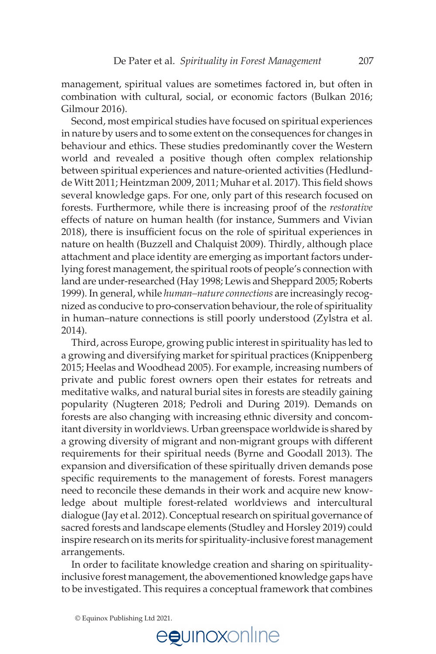management, spiritual values are sometimes factored in, but often in combination with cultural, social, or economic factors (Bulkan 2016; Gilmour 2016).

 Second, most empirical studies have focused on spiritual experiences in nature by users and to some extent on the consequences for changes in behaviour and ethics. These studies predominantly cover the Western world and revealed a positive though often complex relationship between spiritual experiences and nature-oriented activities (Hedlundde Witt 2011; Heintzman 2009, 2011; Muhar et al. 2017). This field shows several knowledge gaps. For one, only part of this research focused on forests. Furthermore, while there is increasing proof of the *restorative* effects of nature on human health (for instance, Summers and Vivian 2018), there is insuflcient focus on the role of spiritual experiences in nature on health (Buzzell and Chalquist 2009). Thirdly, although place attachment and place identity are emerging as important factors underlying forest management, the spiritual roots of people's connection with land are under-researched (Hay 1998; Lewis and Sheppard 2005; Roberts 1999). In general, while *human–nature connections* are increasingly recognized as conducive to pro-conservation behaviour, the role of spirituality in human–nature connections is still poorly understood (Zylstra et al. 2014).

 Third, across Europe, growing public interest in spirituality has led to a growing and diversifying market for spiritual practices (Knippenberg 2015; Heelas and Woodhead 2005). For example, increasing numbers of private and public forest owners open their estates for retreats and meditative walks, and natural burial sites in forests are steadily gaining popularity (Nugteren 2018; Pedroli and During 2019)*.* Demands on forests are also changing with increasing ethnic diversity and concomitant diversity in worldviews. Urban greenspace worldwide is shared by a growing diversity of migrant and non-migrant groups with different requirements for their spiritual needs (Byrne and Goodall 2013). The expansion and diversification of these spiritually driven demands pose specific requirements to the management of forests. Forest managers need to reconcile these demands in their work and acquire new knowledge about multiple forest-related worldviews and intercultural dialogue (Jay et al. 2012). Conceptual research on spiritual governance of sacred forests and landscape elements (Studley and Horsley 2019) could inspire research on its merits for spirituality-inclusive forest management arrangements.

 In order to facilitate knowledge creation and sharing on spiritualityinclusive forest management, the abovementioned knowledge gaps have to be investigated. This requires a conceptual framework that combines

<sup>©</sup> Equinox Publishing Ltd 2021.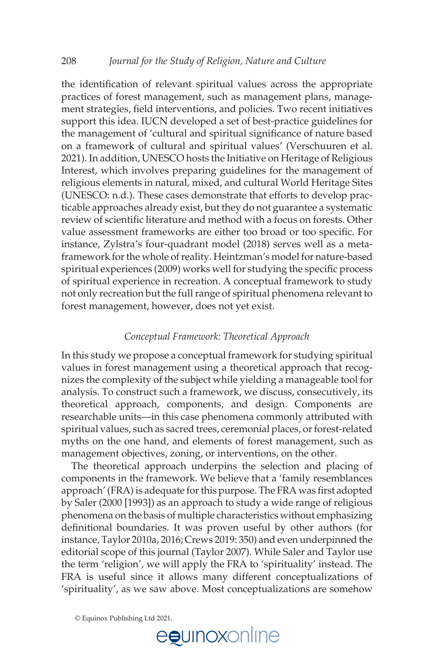the identification of relevant spiritual values across the appropriate practices of forest management, such as management plans, management strategies, field interventions, and policies. Two recent initiatives support this idea. IUCN developed a set of best-practice guidelines for the management of 'cultural and spiritual significance of nature based on a framework of cultural and spiritual values' (Verschuuren et al. 2021). In addition, UNESCO hosts the Initiative on Heritage of Religious Interest, which involves preparing guidelines for the management of religious elements in natural, mixed, and cultural World Heritage Sites (UNESCO: n.d.). These cases demonstrate that efforts to develop practicable approaches already exist, but they do not guarantee a systematic review of scientific literature and method with a focus on forests. Other value assessment frameworks are either too broad or too specific. For instance, Zylstra's four-quadrant model (2018) serves well as a metaframework for the whole of reality. Heintzman's model for nature-based spiritual experiences (2009) works well for studying the specific process of spiritual experience in recreation. A conceptual framework to study not only recreation but the full range of spiritual phenomena relevant to forest management, however, does not yet exist.

#### *Conceptual Framework: Theoretical Approach*

In this study we propose a conceptual framework for studying spiritual values in forest management using a theoretical approach that recognizes the complexity of the subject while yielding a manageable tool for analysis. To construct such a framework, we discuss, consecutively, its theoretical approach, components, and design. Components are researchable units—in this case phenomena commonly attributed with spiritual values, such as sacred trees, ceremonial places, or forest-related myths on the one hand, and elements of forest management, such as management objectives, zoning, or interventions, on the other.

 The theoretical approach underpins the selection and placing of components in the framework. We believe that a 'family resemblances approach' (FRA) is adequate for this purpose. The FRA was first adopted by Saler (2000 [1993]) as an approach to study a wide range of religious phenomena on the basis of multiple characteristics without emphasizing definitional boundaries. It was proven useful by other authors (for instance, Taylor 2010a, 2016; Crews 2019: 350) and even underpinned the editorial scope of this journal (Taylor 2007). While Saler and Taylor use the term 'religion', we will apply the FRA to 'spirituality' instead. The FRA is useful since it allows many different conceptualizations of 'spirituality', as we saw above. Most conceptualizations are somehow

© Equinox Publishing Ltd 2021.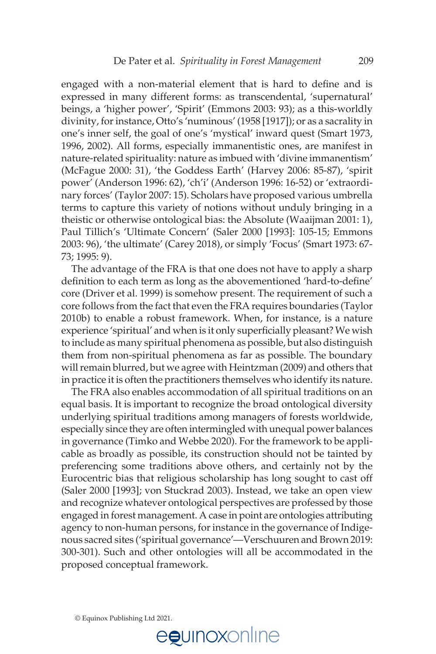engaged with a non-material element that is hard to define and is expressed in many different forms: as transcendental, 'supernatural' beings, a 'higher power', 'Spirit' (Emmons 2003: 93); as a this-worldly divinity, for instance, Otto's 'numinous' (1958 [1917]); or as a sacrality in one's inner self, the goal of one's 'mystical' inward quest (Smart 1973, 1996, 2002). All forms, especially immanentistic ones, are manifest in nature-related spirituality: nature as imbued with 'divine immanentism' (McFague 2000: 31), 'the Goddess Earth' (Harvey 2006: 85-87), 'spirit power' (Anderson 1996: 62), 'ch'i' (Anderson 1996: 16-52) or 'extraordinary forces' (Taylor 2007: 15). Scholars have proposed various umbrella terms to capture this variety of notions without unduly bringing in a theistic or otherwise ontological bias: the Absolute (Waaijman 2001: 1), Paul Tillich's 'Ultimate Concern' (Saler 2000 [1993]: 105-15; Emmons 2003: 96), 'the ultimate' (Carey 2018), or simply 'Focus' (Smart 1973: 67- 73; 1995: 9).

 The advantage of the FRA is that one does not have to apply a sharp definition to each term as long as the abovementioned 'hard-to-define' core (Driver et al. 1999) is somehow present. The requirement of such a core follows from the fact that even the FRA requires boundaries (Taylor 2010b) to enable a robust framework. When, for instance, is a nature experience 'spiritual' and when is it only superficially pleasant? We wish to include as many spiritual phenomena as possible, but also distinguish them from non-spiritual phenomena as far as possible. The boundary will remain blurred, but we agree with Heintzman (2009) and others that in practice it is often the practitioners themselves who identify its nature.

 The FRA also enables accommodation of all spiritual traditions on an equal basis. It is important to recognize the broad ontological diversity underlying spiritual traditions among managers of forests worldwide, especially since they are often intermingled with unequal power balances in governance (Timko and Webbe 2020). For the framework to be applicable as broadly as possible, its construction should not be tainted by preferencing some traditions above others, and certainly not by the Eurocentric bias that religious scholarship has long sought to cast off (Saler 2000 [1993]; von Stuckrad 2003). Instead, we take an open view and recognize whatever ontological perspectives are professed by those engaged in forest management. A case in point are ontologies attributing agency to non-human persons, for instance in the governance of Indigenous sacred sites ('spiritual governance'—Verschuuren and Brown 2019: 300-301). Such and other ontologies will all be accommodated in the proposed conceptual framework.

© Equinox Publishing Ltd 2021.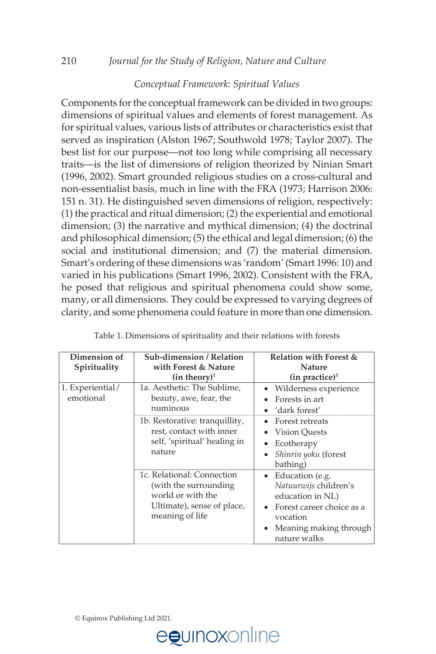#### *Conceptual Framework: Spiritual Values*

Components for the conceptual framework can be divided in two groups: dimensions of spiritual values and elements of forest management. As for spiritual values, various lists of attributes or characteristics exist that served as inspiration (Alston 1967; Southwold 1978; Taylor 2007). The best list for our purpose—not too long while comprising all necessary traits—is the list of dimensions of religion theorized by Ninian Smart (1996, 2002). Smart grounded religious studies on a cross-cultural and non-essentialist basis, much in line with the FRA (1973; Harrison 2006: 151 n. 31). He distinguished seven dimensions of religion, respectively: (1) the practical and ritual dimension; (2) the experiential and emotional dimension; (3) the narrative and mythical dimension; (4) the doctrinal and philosophical dimension; (5) the ethical and legal dimension; (6) the social and institutional dimension; and (7) the material dimension. Smart's ordering of these dimensions was 'random' (Smart 1996: 10) and varied in his publications (Smart 1996, 2002). Consistent with the FRA, he posed that religious and spiritual phenomena could show some, many, or all dimensions. They could be expressed to varying degrees of clarity, and some phenomena could feature in more than one dimension.

| Dimension of<br>Spirituality  | Sub-dimension / Relation<br>with Forest & Nature<br>(in theory) <sup>1</sup>                                               | Relation with Forest &<br><b>Nature</b><br>(in practice) <sup>1</sup>                                                                                        |
|-------------------------------|----------------------------------------------------------------------------------------------------------------------------|--------------------------------------------------------------------------------------------------------------------------------------------------------------|
| 1. Experiential/<br>emotional | 1a. Aesthetic: The Sublime,<br>beauty, awe, fear, the<br>numinous                                                          | Wilderness experience<br>Forests in art<br>'dark forest'                                                                                                     |
|                               | 1b. Restorative: tranquillity,<br>rest, contact with inner<br>self, 'spiritual' healing in<br>nature                       | Forest retreats<br>Vision Ouests<br>Ecotherapy<br>Shinrin yoku (forest<br>bathing)                                                                           |
|                               | 1c. Relational: Connection<br>(with the surrounding)<br>world or with the<br>Ultimate), sense of place,<br>meaning of life | Education (e.g.<br>$\bullet$<br>Natuurwijs children's<br>education in NL)<br>Forest career choice as a<br>vocation<br>Meaning making through<br>nature walks |

| Table 1. Dimensions of spirituality and their relations with forests |  |
|----------------------------------------------------------------------|--|
|----------------------------------------------------------------------|--|

© Equinox Publishing Ltd 2021.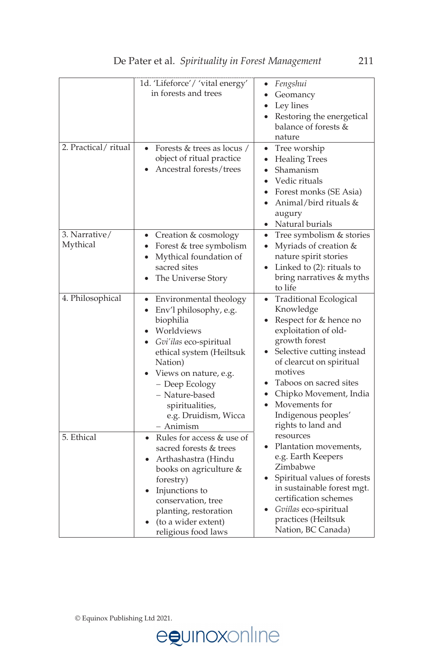|                     | 1d. 'Lifeforce'/ 'vital energy'        | Fengshui<br>٠                          |
|---------------------|----------------------------------------|----------------------------------------|
|                     | in forests and trees                   | Geomancy<br>$\bullet$                  |
|                     |                                        | Ley lines<br>$\bullet$                 |
|                     |                                        | Restoring the energetical<br>$\bullet$ |
|                     |                                        | balance of forests &                   |
|                     |                                        | nature                                 |
| 2. Practical/ritual | Forests & trees as locus /             | Tree worship<br>$\bullet$              |
|                     | object of ritual practice              | <b>Healing Trees</b><br>$\bullet$      |
|                     | Ancestral forests/trees                | Shamanism<br>$\bullet$                 |
|                     |                                        | Vedic rituals                          |
|                     |                                        | • Forest monks (SE Asia)               |
|                     |                                        | Animal/bird rituals &<br>$\bullet$     |
|                     |                                        | augury                                 |
|                     |                                        | • Natural burials                      |
| 3. Narrative/       | • Creation & cosmology                 | Tree symbolism & stories<br>$\bullet$  |
| Mythical            | Forest & tree symbolism<br>٠           | Myriads of creation &<br>$\bullet$     |
|                     | Mythical foundation of<br>$\bullet$    | nature spirit stories                  |
|                     | sacred sites                           | Linked to (2): rituals to              |
|                     | The Universe Story                     | bring narratives & myths               |
|                     |                                        | to life                                |
| 4. Philosophical    | Environmental theology<br>٠            | • Traditional Ecological               |
|                     | Env'l philosophy, e.g.                 | Knowledge                              |
|                     | biophilia                              | Respect for & hence no                 |
|                     | Worldviews                             | exploitation of old-                   |
|                     | Gvi'ilas eco-spiritual                 | growth forest                          |
|                     | ethical system (Heiltsuk               | Selective cutting instead              |
|                     | Nation)                                | of clearcut on spiritual               |
|                     | Views on nature, e.g.                  | motives                                |
|                     | - Deep Ecology                         | Taboos on sacred sites                 |
|                     | - Nature-based                         | • Chipko Movement, India               |
|                     | spiritualities,                        | Movements for<br>$\bullet$             |
|                     | e.g. Druidism, Wicca                   | Indigenous peoples'                    |
|                     | - Animism                              | rights to land and                     |
| 5. Ethical          | Rules for access & use of<br>$\bullet$ | resources                              |
|                     | sacred forests & trees                 | Plantation movements,                  |
|                     | Arthashastra (Hindu                    | e.g. Earth Keepers                     |
|                     | books on agriculture &                 | Zimbabwe                               |
|                     | forestry)                              | Spiritual values of forests            |
|                     | Injunctions to                         | in sustainable forest mgt.             |
|                     | conservation, tree                     | certification schemes                  |
|                     | planting, restoration                  | Gviílas eco-spiritual                  |
|                     | (to a wider extent)                    | practices (Heiltsuk                    |
|                     | religious food laws                    | Nation, BC Canada)                     |

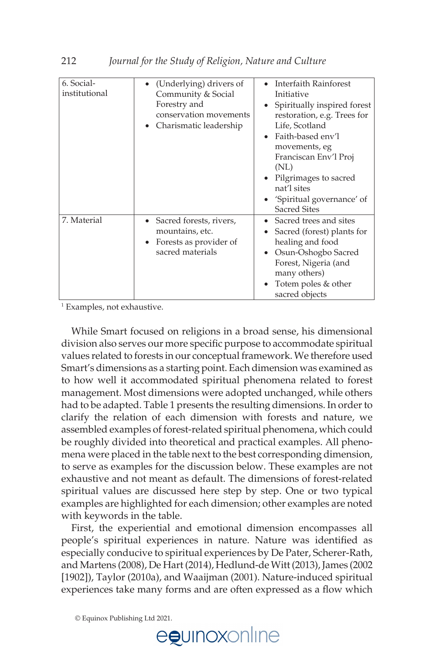| 6. Social-<br>institutional | (Underlying) drivers of<br>Community & Social<br>Forestry and<br>conservation movements<br>Charismatic leadership | Interfaith Rainforest<br>Initiative<br>Spiritually inspired forest<br>restoration, e.g. Trees for<br>Life, Scotland<br>• Faith-based env'l<br>movements, eg<br>Franciscan Env'l Proj<br>(NL)<br>• Pilgrimages to sacred<br>nat'l sites<br>• 'Spiritual governance' of<br><b>Sacred Sites</b> |
|-----------------------------|-------------------------------------------------------------------------------------------------------------------|----------------------------------------------------------------------------------------------------------------------------------------------------------------------------------------------------------------------------------------------------------------------------------------------|
| 7. Material                 | Sacred forests, rivers,<br>mountains, etc.<br>Forests as provider of<br>sacred materials                          | • Sacred trees and sites<br>Sacred (forest) plants for<br>healing and food<br>Osun-Oshogbo Sacred<br>Forest, Nigeria (and<br>many others)<br>Totem poles & other<br>sacred objects                                                                                                           |

1 Examples, not exhaustive.

 While Smart focused on religions in a broad sense, his dimensional division also serves our more specific purpose to accommodate spiritual values related to forests in our conceptual framework. We therefore used Smart's dimensions as a starting point. Each dimension was examined as to how well it accommodated spiritual phenomena related to forest management. Most dimensions were adopted unchanged, while others had to be adapted. Table 1 presents the resulting dimensions. In order to clarify the relation of each dimension with forests and nature, we assembled examples of forest-related spiritual phenomena, which could be roughly divided into theoretical and practical examples. All phenomena were placed in the table next to the best corresponding dimension, to serve as examples for the discussion below. These examples are not exhaustive and not meant as default. The dimensions of forest-related spiritual values are discussed here step by step. One or two typical examples are highlighted for each dimension; other examples are noted with keywords in the table.

 First, the experiential and emotional dimension encompasses all people's spiritual experiences in nature. Nature was identified as especially conducive to spiritual experiences by De Pater, Scherer-Rath, and Martens (2008), De Hart (2014), Hedlund-de Witt (2013), James (2002 [1902]), Taylor (2010a), and Waaijman (2001). Nature-induced spiritual experiences take many forms and are often expressed as a flow which

© Equinox Publishing Ltd 2021.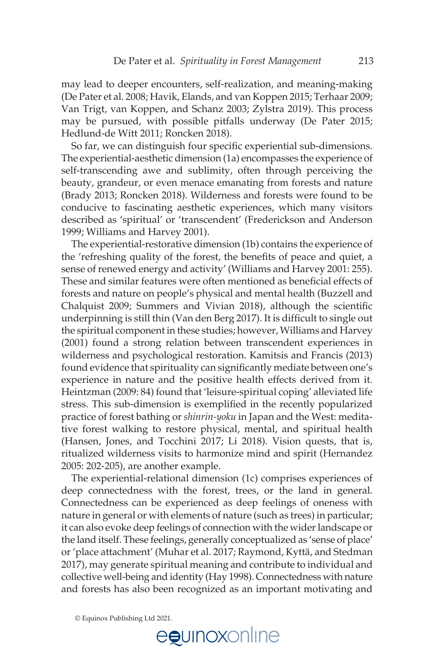may lead to deeper encounters, self-realization, and meaning-making (De Pater et al. 2008; Havik, Elands, and van Koppen 2015; Terhaar 2009; Van Trigt, van Koppen, and Schanz 2003; Zylstra 2019). This process may be pursued, with possible pitfalls underway (De Pater 2015; Hedlund-de Witt 2011; Roncken 2018).

So far, we can distinguish four specific experiential sub-dimensions. The experiential-aesthetic dimension (1a) encompasses the experience of self-transcending awe and sublimity, often through perceiving the beauty, grandeur, or even menace emanating from forests and nature (Brady 2013; Roncken 2018). Wilderness and forests were found to be conducive to fascinating aesthetic experiences, which many visitors described as 'spiritual' or 'transcendent' (Frederickson and Anderson 1999; Williams and Harvey 2001).

 The experiential-restorative dimension (1b) contains the experience of the 'refreshing quality of the forest, the benefits of peace and quiet, a sense of renewed energy and activity' (Williams and Harvey 2001: 255). These and similar features were often mentioned as beneficial effects of forests and nature on people's physical and mental health (Buzzell and Chalquist 2009; Summers and Vivian 2018), although the scientific underpinning is still thin (Van den Berg 2017). It is difficult to single out the spiritual component in these studies; however, Williams and Harvey (2001) found a strong relation between transcendent experiences in wilderness and psychological restoration. Kamitsis and Francis (2013) found evidence that spirituality can significantly mediate between one's experience in nature and the positive health effects derived from it. Heintzman (2009: 84) found that 'leisure-spiritual coping' alleviated life stress. This sub-dimension is exemplified in the recently popularized practice of forest bathing or *shinrin-yoku* in Japan and the West: meditative forest walking to restore physical, mental, and spiritual health (Hansen, Jones, and Tocchini 2017; Li 2018). Vision quests, that is, ritualized wilderness visits to harmonize mind and spirit (Hernandez 2005: 202-205), are another example.

 The experiential-relational dimension (1c) comprises experiences of deep connectedness with the forest, trees, or the land in general. Connectedness can be experienced as deep feelings of oneness with nature in general or with elements of nature (such as trees) in particular; it can also evoke deep feelings of connection with the wider landscape or the land itself. These feelings, generally conceptualized as 'sense of place' or 'place attachment' (Muhar et al. 2017; Raymond, Kyttä, and Stedman 2017), may generate spiritual meaning and contribute to individual and collective well-being and identity (Hay 1998). Connectedness with nature and forests has also been recognized as an important motivating and

© Equinox Publishing Ltd 2021.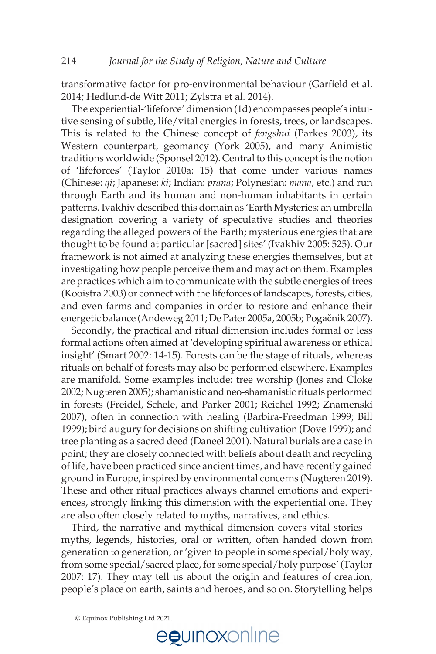transformative factor for pro-environmental behaviour (Garfield et al. 2014; Hedlund-de Witt 2011; Zylstra et al. 2014).

 The experiential-'lifeforce' dimension (1d) encompasses people's intuitive sensing of subtle, life/vital energies in forests, trees, or landscapes. This is related to the Chinese concept of *fengshui* (Parkes 2003), its Western counterpart, geomancy (York 2005), and many Animistic traditions worldwide (Sponsel 2012). Central to this concept is the notion of 'lifeforces' (Taylor 2010a: 15) that come under various names (Chinese: *qi*; Japanese: *ki*; Indian: *prana*; Polynesian: *mana,* etc.) and run through Earth and its human and non-human inhabitants in certain patterns. Ivakhiv described this domain as 'Earth Mysteries: an umbrella designation covering a variety of speculative studies and theories regarding the alleged powers of the Earth; mysterious energies that are thought to be found at particular [sacred] sites' (Ivakhiv 2005: 525). Our framework is not aimed at analyzing these energies themselves, but at investigating how people perceive them and may act on them. Examples are practices which aim to communicate with the subtle energies of trees (Kooistra 2003) or connect with the lifeforces of landscapes, forests, cities, and even farms and companies in order to restore and enhance their energetic balance (Andeweg 2011; De Pater 2005a, 2005b; Pogačnik 2007).

 Secondly, the practical and ritual dimension includes formal or less formal actions often aimed at 'developing spiritual awareness or ethical insight' (Smart 2002: 14-15). Forests can be the stage of rituals, whereas rituals on behalf of forests may also be performed elsewhere. Examples are manifold. Some examples include: tree worship (Jones and Cloke 2002; Nugteren 2005); shamanistic and neo-shamanistic rituals performed in forests (Freidel, Schele, and Parker 2001; Reichel 1992; Znamenski 2007), often in connection with healing (Barbira-Freedman 1999; Bill 1999); bird augury for decisions on shifting cultivation (Dove 1999); and tree planting as a sacred deed (Daneel 2001). Natural burials are a case in point; they are closely connected with beliefs about death and recycling of life, have been practiced since ancient times, and have recently gained ground in Europe, inspired by environmental concerns (Nugteren 2019). These and other ritual practices always channel emotions and experiences, strongly linking this dimension with the experiential one. They are also often closely related to myths, narratives, and ethics.

 Third, the narrative and mythical dimension covers vital stories myths, legends, histories, oral or written, often handed down from generation to generation, or 'given to people in some special/holy way, from some special/sacred place, for some special/holy purpose' (Taylor 2007: 17). They may tell us about the origin and features of creation, people's place on earth, saints and heroes, and so on. Storytelling helps

© Equinox Publishing Ltd 2021.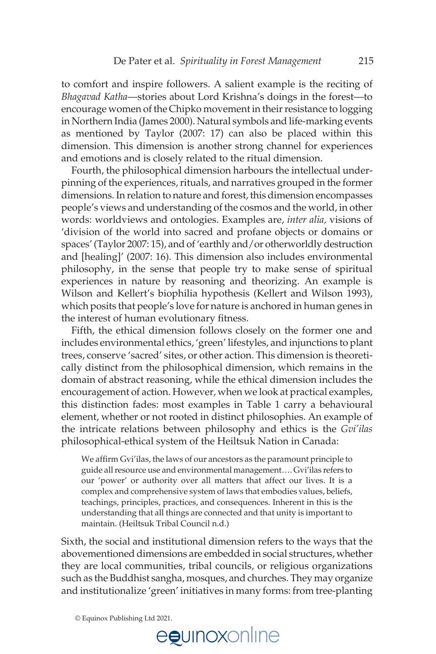to comfort and inspire followers. A salient example is the reciting of *Bhagavad Katha*—stories about Lord Krishna's doings in the forest—to encourage women of the Chipko movement in their resistance to logging in Northern India (James 2000). Natural symbols and life-marking events as mentioned by Taylor (2007: 17) can also be placed within this dimension. This dimension is another strong channel for experiences and emotions and is closely related to the ritual dimension.

 Fourth, the philosophical dimension harbours the intellectual underpinning of the experiences, rituals, and narratives grouped in the former dimensions. In relation to nature and forest, this dimension encompasses people's views and understanding of the cosmos and the world, in other words: worldviews and ontologies. Examples are, *inter alia,* visions of 'division of the world into sacred and profane objects or domains or spaces' (Taylor 2007: 15), and of 'earthly and/or otherworldly destruction and [healing]' (2007: 16). This dimension also includes environmental philosophy, in the sense that people try to make sense of spiritual experiences in nature by reasoning and theorizing. An example is Wilson and Kellert's biophilia hypothesis (Kellert and Wilson 1993), which posits that people's love for nature is anchored in human genes in the interest of human evolutionary fitness.

 Fifth, the ethical dimension follows closely on the former one and includes environmental ethics, 'green' lifestyles, and injunctions to plant trees, conserve 'sacred' sites, or other action. This dimension is theoretically distinct from the philosophical dimension, which remains in the domain of abstract reasoning, while the ethical dimension includes the encouragement of action. However, when we look at practical examples, this distinction fades: most examples in Table 1 carry a behavioural element, whether or not rooted in distinct philosophies. An example of the intricate relations between philosophy and ethics is the *Gvi'ilas*  philosophical-ethical system of the Heiltsuk Nation in Canada:

We affirm Gvi'ilas, the laws of our ancestors as the paramount principle to guide all resource use and environmental management…. Gvi'ilas refers to our 'power' or authority over all matters that affect our lives. It is a complex and comprehensive system of laws that embodies values, beliefs, teachings, principles, practices, and consequences. Inherent in this is the understanding that all things are connected and that unity is important to maintain. (Heiltsuk Tribal Council n.d.)

Sixth, the social and institutional dimension refers to the ways that the abovementioned dimensions are embedded in social structures, whether they are local communities, tribal councils, or religious organizations such as the Buddhist sangha, mosques, and churches. They may organize and institutionalize 'green' initiatives in many forms: from tree-planting

© Equinox Publishing Ltd 2021.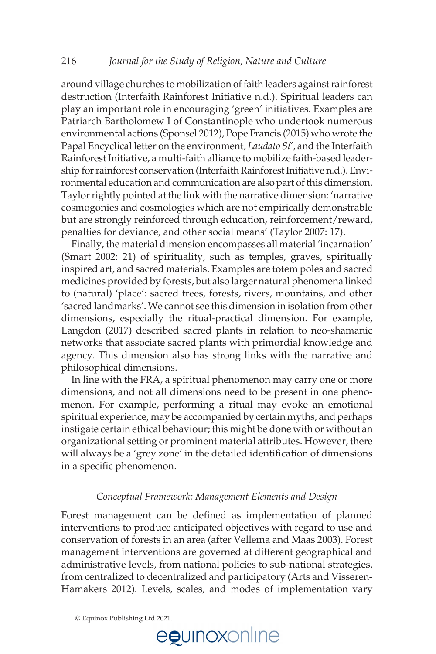around village churches to mobilization of faith leaders against rainforest destruction (Interfaith Rainforest Initiative n.d.). Spiritual leaders can play an important role in encouraging 'green' initiatives. Examples are Patriarch Bartholomew I of Constantinople who undertook numerous environmental actions (Sponsel 2012), Pope Francis (2015) who wrote the Papal Encyclical letter on the environment, *Laudato Sí'*, and the Interfaith Rainforest Initiative, a multi-faith alliance to mobilize faith-based leadership for rainforest conservation (Interfaith Rainforest Initiative n.d.). Environmental education and communication are also part of this dimension. Taylor rightly pointed at the link with the narrative dimension: 'narrative cosmogonies and cosmologies which are not empirically demonstrable but are strongly reinforced through education, reinforcement/reward, penalties for deviance, and other social means' (Taylor 2007: 17).

Finally, the material dimension encompasses all material 'incarnation' (Smart 2002: 21) of spirituality, such as temples, graves, spiritually inspired art, and sacred materials. Examples are totem poles and sacred medicines provided by forests, but also larger natural phenomena linked to (natural) 'place': sacred trees, forests, rivers, mountains, and other 'sacred landmarks'. We cannot see this dimension in isolation from other dimensions, especially the ritual-practical dimension. For example, Langdon (2017) described sacred plants in relation to neo-shamanic networks that associate sacred plants with primordial knowledge and agency. This dimension also has strong links with the narrative and philosophical dimensions.

 In line with the FRA, a spiritual phenomenon may carry one or more dimensions, and not all dimensions need to be present in one phenomenon. For example, performing a ritual may evoke an emotional spiritual experience, may be accompanied by certain myths, and perhaps instigate certain ethical behaviour; this might be done with or without an organizational setting or prominent material attributes. However, there will always be a 'grey zone' in the detailed identification of dimensions in a specific phenomenon.

#### *Conceptual Framework: Management Elements and Design*

Forest management can be defined as implementation of planned interventions to produce anticipated objectives with regard to use and conservation of forests in an area (after Vellema and Maas 2003). Forest management interventions are governed at different geographical and administrative levels, from national policies to sub-national strategies, from centralized to decentralized and participatory (Arts and Visseren-Hamakers 2012). Levels, scales, and modes of implementation vary

© Equinox Publishing Ltd 2021.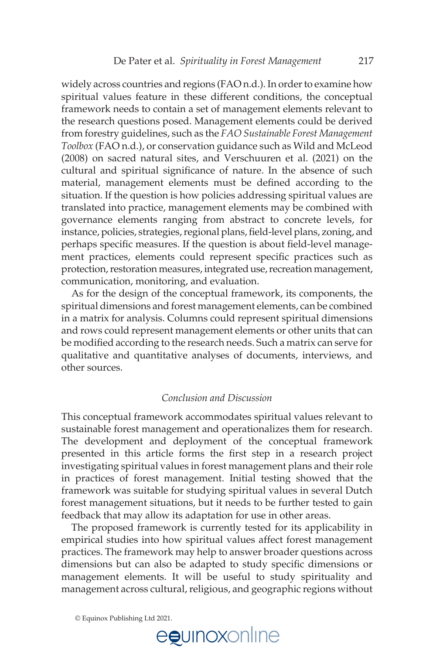widely across countries and regions (FAO n.d.). In order to examine how spiritual values feature in these different conditions, the conceptual framework needs to contain a set of management elements relevant to the research questions posed. Management elements could be derived from forestry guidelines, such as the *FAO Sustainable Forest Management Toolbox* (FAO n.d.), or conservation guidance such as Wild and McLeod (2008) on sacred natural sites, and Verschuuren et al. (2021) on the cultural and spiritual significance of nature. In the absence of such material, management elements must be defined according to the situation. If the question is how policies addressing spiritual values are translated into practice, management elements may be combined with governance elements ranging from abstract to concrete levels, for instance, policies, strategies, regional plans, field-level plans, zoning, and perhaps specific measures. If the question is about field-level management practices, elements could represent specific practices such as protection, restoration measures, integrated use, recreation management, communication, monitoring, and evaluation.

As for the design of the conceptual framework, its components, the spiritual dimensions and forest management elements, can be combined in a matrix for analysis. Columns could represent spiritual dimensions and rows could represent management elements or other units that can be modified according to the research needs. Such a matrix can serve for qualitative and quantitative analyses of documents, interviews, and other sources.

#### *Conclusion and Discussion*

This conceptual framework accommodates spiritual values relevant to sustainable forest management and operationalizes them for research. The development and deployment of the conceptual framework presented in this article forms the first step in a research project investigating spiritual values in forest management plans and their role in practices of forest management. Initial testing showed that the framework was suitable for studying spiritual values in several Dutch forest management situations, but it needs to be further tested to gain feedback that may allow its adaptation for use in other areas.

 The proposed framework is currently tested for its applicability in empirical studies into how spiritual values affect forest management practices. The framework may help to answer broader questions across dimensions but can also be adapted to study specific dimensions or management elements. It will be useful to study spirituality and management across cultural, religious, and geographic regions without

© Equinox Publishing Ltd 2021.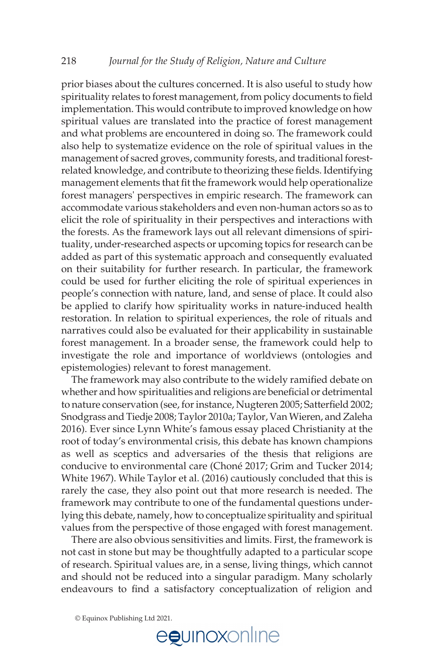prior biases about the cultures concerned. It is also useful to study how spirituality relates to forest management, from policy documents to field implementation. This would contribute to improved knowledge on how spiritual values are translated into the practice of forest management and what problems are encountered in doing so. The framework could also help to systematize evidence on the role of spiritual values in the management of sacred groves, community forests, and traditional forestrelated knowledge, and contribute to theorizing these fields. Identifying management elements that fit the framework would help operationalize forest managers' perspectives in empiric research. The framework can accommodate various stakeholders and even non-human actors so as to elicit the role of spirituality in their perspectives and interactions with the forests. As the framework lays out all relevant dimensions of spirituality, under-researched aspects or upcoming topics for research can be added as part of this systematic approach and consequently evaluated on their suitability for further research. In particular, the framework could be used for further eliciting the role of spiritual experiences in people's connection with nature, land, and sense of place. It could also be applied to clarify how spirituality works in nature-induced health restoration. In relation to spiritual experiences, the role of rituals and narratives could also be evaluated for their applicability in sustainable forest management. In a broader sense, the framework could help to investigate the role and importance of worldviews (ontologies and epistemologies) relevant to forest management.

The framework may also contribute to the widely ramified debate on whether and how spiritualities and religions are beneficial or detrimental to nature conservation (see, for instance, Nugteren 2005; Satterfield 2002; Snodgrass and Tiedje 2008; Taylor 2010a; Taylor, Van Wieren, and Zaleha 2016). Ever since Lynn White's famous essay placed Christianity at the root of today's environmental crisis, this debate has known champions as well as sceptics and adversaries of the thesis that religions are conducive to environmental care (Choné 2017; Grim and Tucker 2014; White 1967). While Taylor et al. (2016) cautiously concluded that this is rarely the case, they also point out that more research is needed. The framework may contribute to one of the fundamental questions underlying this debate, namely, how to conceptualize spirituality and spiritual values from the perspective of those engaged with forest management.

 There are also obvious sensitivities and limits. First, the framework is not cast in stone but may be thoughtfully adapted to a particular scope of research. Spiritual values are, in a sense, living things, which cannot and should not be reduced into a singular paradigm. Many scholarly endeavours to find a satisfactory conceptualization of religion and

© Equinox Publishing Ltd 2021.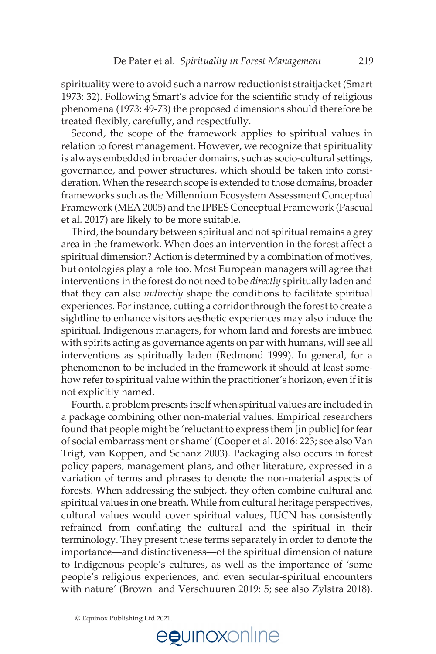spirituality were to avoid such a narrow reductionist straitjacket (Smart 1973: 32). Following Smart's advice for the scientific study of religious phenomena (1973: 49-73) the proposed dimensions should therefore be treated flexibly, carefully, and respectfully.

 Second, the scope of the framework applies to spiritual values in relation to forest management. However, we recognize that spirituality is always embedded in broader domains, such as socio-cultural settings, governance, and power structures, which should be taken into consideration. When the research scope is extended to those domains, broader frameworks such as the Millennium Ecosystem Assessment Conceptual Framework (MEA 2005) and the IPBES Conceptual Framework (Pascual et al. 2017) are likely to be more suitable.

Third, the boundary between spiritual and not spiritual remains a grey area in the framework. When does an intervention in the forest affect a spiritual dimension? Action is determined by a combination of motives, but ontologies play a role too. Most European managers will agree that interventions in the forest do not need to be *directly* spiritually laden and that they can also *indirectly* shape the conditions to facilitate spiritual experiences. For instance, cutting a corridor through the forest to create a sightline to enhance visitors aesthetic experiences may also induce the spiritual. Indigenous managers, for whom land and forests are imbued with spirits acting as governance agents on par with humans, will see all interventions as spiritually laden (Redmond 1999). In general, for a phenomenon to be included in the framework it should at least somehow refer to spiritual value within the practitioner's horizon, even if it is not explicitly named.

 Fourth, a problem presents itself when spiritual values are included in a package combining other non-material values. Empirical researchers found that people might be 'reluctant to express them [in public] for fear of social embarrassment or shame' (Cooper et al. 2016: 223; see also Van Trigt, van Koppen, and Schanz 2003). Packaging also occurs in forest policy papers, management plans, and other literature, expressed in a variation of terms and phrases to denote the non-material aspects of forests. When addressing the subject, they often combine cultural and spiritual values in one breath. While from cultural heritage perspectives, cultural values would cover spiritual values, IUCN has consistently refrained from conflating the cultural and the spiritual in their terminology. They present these terms separately in order to denote the importance—and distinctiveness—of the spiritual dimension of nature to Indigenous people's cultures, as well as the importance of 'some people's religious experiences, and even secular-spiritual encounters with nature' (Brown and Verschuuren 2019: 5; see also Zylstra 2018).

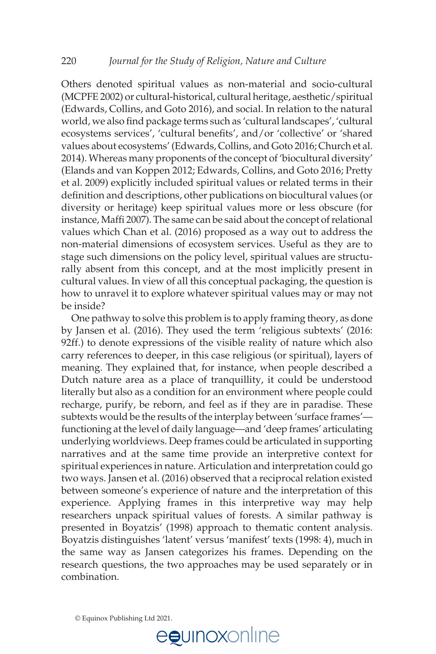Others denoted spiritual values as non-material and socio-cultural (MCPFE 2002) or cultural-historical, cultural heritage, aesthetic/spiritual (Edwards, Collins, and Goto 2016), and social. In relation to the natural world, we also find package terms such as 'cultural landscapes', 'cultural ecosystems services', 'cultural benefits', and/or 'collective' or 'shared values about ecosystems' (Edwards, Collins, and Goto 2016; Church et al. 2014). Whereas many proponents of the concept of 'biocultural diversity' (Elands and van Koppen 2012; Edwards, Collins, and Goto 2016; Pretty et al. 2009) explicitly included spiritual values or related terms in their definition and descriptions, other publications on biocultural values (or diversity or heritage) keep spiritual values more or less obscure (for instance, Maffi 2007). The same can be said about the concept of relational values which Chan et al. (2016) proposed as a way out to address the non-material dimensions of ecosystem services. Useful as they are to stage such dimensions on the policy level, spiritual values are structurally absent from this concept, and at the most implicitly present in cultural values. In view of all this conceptual packaging, the question is how to unravel it to explore whatever spiritual values may or may not be inside?

 One pathway to solve this problem is to apply framing theory, as done by Jansen et al. (2016). They used the term 'religious subtexts' (2016: 92ff.) to denote expressions of the visible reality of nature which also carry references to deeper, in this case religious (or spiritual), layers of meaning. They explained that, for instance, when people described a Dutch nature area as a place of tranquillity, it could be understood literally but also as a condition for an environment where people could recharge, purify, be reborn, and feel as if they are in paradise. These subtexts would be the results of the interplay between 'surface frames' functioning at the level of daily language—and 'deep frames' articulating underlying worldviews. Deep frames could be articulated in supporting narratives and at the same time provide an interpretive context for spiritual experiences in nature. Articulation and interpretation could go two ways. Jansen et al. (2016) observed that a reciprocal relation existed between someone's experience of nature and the interpretation of this experience. Applying frames in this interpretive way may help researchers unpack spiritual values of forests. A similar pathway is presented in Boyatzis' (1998) approach to thematic content analysis. Boyatzis distinguishes 'latent' versus 'manifest' texts (1998: 4), much in the same way as Jansen categorizes his frames. Depending on the research questions, the two approaches may be used separately or in combination.

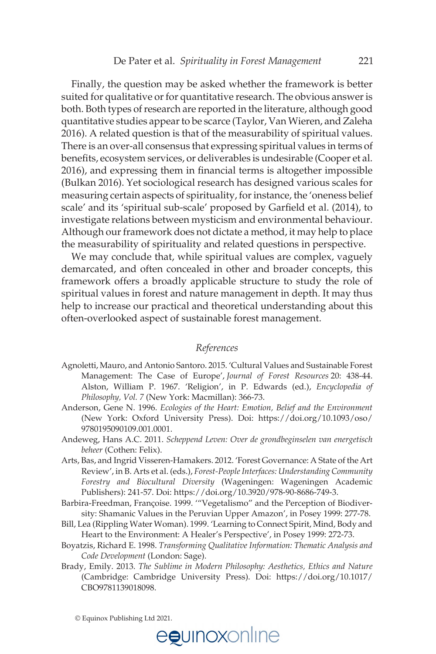Finally, the question may be asked whether the framework is better suited for qualitative or for quantitative research. The obvious answer is both. Both types of research are reported in the literature, although good quantitative studies appear to be scarce (Taylor, Van Wieren, and Zaleha 2016). A related question is that of the measurability of spiritual values. There is an over-all consensus that expressing spiritual values in terms of benefits, ecosystem services, or deliverables is undesirable (Cooper et al. 2016), and expressing them in financial terms is altogether impossible (Bulkan 2016). Yet sociological research has designed various scales for measuring certain aspects of spirituality, for instance, the 'oneness belief scale' and its 'spiritual sub-scale' proposed by Garfield et al. (2014), to investigate relations between mysticism and environmental behaviour. Although our framework does not dictate a method, it may help to place the measurability of spirituality and related questions in perspective.

 We may conclude that, while spiritual values are complex, vaguely demarcated, and often concealed in other and broader concepts, this framework offers a broadly applicable structure to study the role of spiritual values in forest and nature management in depth. It may thus help to increase our practical and theoretical understanding about this often-overlooked aspect of sustainable forest management.

#### *References*

- Agnoletti, Mauro, and Antonio Santoro. 2015. 'Cultural Values and Sustainable Forest Management: The Case of Europe', *Journal of Forest Resources* 20: 438-44. Alston, William P. 1967. 'Religion', in P. Edwards (ed.), *Encyclopedia of Philosophy, Vol. 7* (New York: Macmillan): 366-73.
- Anderson, Gene N. 1996. *Ecologies of the Heart: Emotion, Belief and the Environment* (New York: Oxford University Press). Doi: [https://doi.org/10.1093/oso/](https://doi.org/10.1093/oso/9780195090109.001.0001)  [9780195090109.001.0001.](https://doi.org/10.1093/oso/9780195090109.001.0001)
- Andeweg, Hans A.C. 2011. *Scheppend Leven: Over de grondbeginselen van energetisch beheer* (Cothen: Felix).
- Arts, Bas, and Ingrid Visseren-Hamakers. 2012. 'Forest Governance: A State of the Art Review', in B. Arts et al. (eds.), *Forest-People Interfaces: Understanding Community Forestry and Biocultural Diversity* (Wageningen: Wageningen Academic Publishers): 241-57. Doi:<https://doi.org/10.3920/978-90-8686-749-3>.
- Barbira-Freedman, Françoise. 1999. '"Vegetalismo" and the Perception of Biodiversity: Shamanic Values in the Peruvian Upper Amazon', in Posey 1999: 277-78.
- Bill, Lea (Rippling Water Woman). 1999. 'Learning to Connect Spirit, Mind, Body and Heart to the Environment: A Healer's Perspective', in Posey 1999: 272-73.
- Boyatzis, Richard E. 1998. *Transforming Qualitative Information: Thematic Analysis and Code Development* (London: Sage).
- Brady, Emily. 2013. *The Sublime in Modern Philosophy: Aesthetics, Ethics and Nature* (Cambridge: Cambridge University Press). Doi: [https://doi.org/10.1017/](https://doi.org/10.1017/CBO9781139018098)  [CBO9781139018098](https://doi.org/10.1017/CBO9781139018098).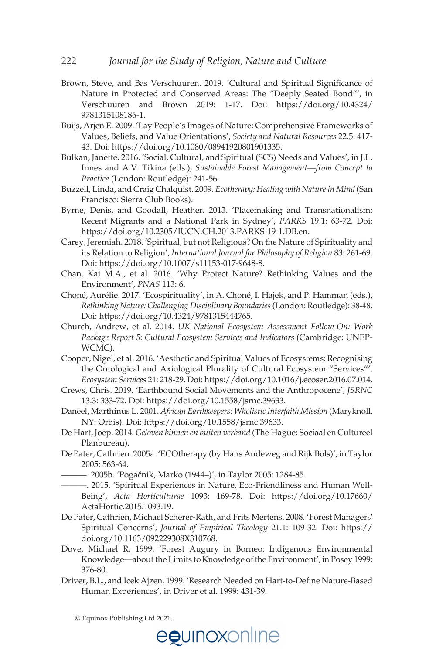- Brown, Steve, and Bas Verschuuren. 2019. 'Cultural and Spiritual Significance of Nature in Protected and Conserved Areas: The "Deeply Seated Bond"', in Verschuuren and Brown 2019: 1-17. Doi: [https://doi.org/10.4324/](https://doi.org/10.4324/9781315108186-1)  [9781315108186-1](https://doi.org/10.4324/9781315108186-1).
- Buijs, Arjen E. 2009. 'Lay People's Images of Nature: Comprehensive Frameworks of Values, Beliefs, and Value Orientations', *Society and Natural Resources* 22.5: 417- 43. Doi: <https://doi.org/10.1080/08941920801901335>.
- Bulkan, Janette. 2016. 'Social, Cultural, and Spiritual (SCS) Needs and Values', in J.L. Innes and A.V. Tikina (eds.), *Sustainable Forest Management—from Concept to Practice* (London: Routledge): 241-56.
- Buzzell, Linda, and Craig Chalquist. 2009. *Ecotherapy: Healing with Nature in Mind* (San Francisco: Sierra Club Books).
- Byrne, Denis, and Goodall, Heather. 2013. 'Placemaking and Transnationalism: Recent Migrants and a National Park in Sydney', *PARKS* 19.1: 63-72. Doi: [https://doi.org/10.2305/IUCN.CH.2013.PARKS-19-1.DB.en.](https://doi.org/10.2305/IUCN.CH.2013.PARKS-19-1.DB.en)
- Carey, Jeremiah. 2018. 'Spiritual, but not Religious? On the Nature of Spirituality and its Relation to Religion', *International Journal for Philosophy of Religion* 83: 261-69. Doi[: https://doi.org/10.1007/s11153-017-9648-8](https://doi.org/10.1007/s11153-017-9648-8).
- Chan, Kai M.A., et al. 2016. 'Why Protect Nature? Rethinking Values and the Environment', *PNAS* 113: 6.
- Choné, Aurélie. 2017. 'Ecospirituality', in A. Choné, I. Hajek, and P. Hamman (eds.), *Rethinking Nature: Challenging Disciplinary Boundaries* (London: Routledge): 38-48. Doi[: https://doi.org/10.4324/9781315444765](https://doi.org/10.4324/9781315444765).
- Church, Andrew, et al. 2014. *UK National Ecosystem Assessment Follow-On: Work Package Report 5: Cultural Ecosystem Services and Indicators* (Cambridge: UNEP-WCMC).
- Cooper, Nigel, et al. 2016. 'Aesthetic and Spiritual Values of Ecosystems: Recognising the Ontological and Axiological Plurality of Cultural Ecosystem "Services"', *Ecosystem Services* 21: 218-29. Doi: [https://doi.org/10.1016/j.ecoser.2016.07.014.](https://doi.org/10.1016/j.ecoser.2016.07.014)
- Crews, Chris. 2019. 'Earthbound Social Movements and the Anthropocene', *JSRNC* 13.3: 333-72. Doi: [https://doi.org/10.1558/jsrnc.39633.](https://doi.org/10.1558/jsrnc.39633)
- Daneel, Marthinus L. 2001. *African Earthkeepers: Wholistic Interfaith Mission* (Maryknoll, NY: Orbis). Doi: <https://doi.org/10.1558/jsrnc.39633>.
- De Hart, Joep. 2014. *Geloven binnen en buiten verband* (The Hague: Sociaal en Cultureel Planbureau).
- De Pater, Cathrien. 2005a. 'ECOtherapy (by Hans Andeweg and Rijk Bols)', in Taylor 2005: 563-64.
	- —. 2005b. 'Pogačnik, Marko (1944–)', in Taylor 2005: 1284-85.
	- ———. 2015. 'Spiritual Experiences in Nature, Eco-Friendliness and Human Well-Being', *Acta Horticulturae* 1093: 169-78. Doi: [https://doi.org/10.17660/](https://doi.org/10.17660/ActaHortic.2015.1093.19)  [ActaHortic.2015.1093.19.](https://doi.org/10.17660/ActaHortic.2015.1093.19)
- De Pater, Cathrien, Michael Scherer-Rath, and Frits Mertens. 2008. 'Forest Managers' Spiritual Concerns', *Journal of Empirical Theology* 21.1: 109-32. Doi: [https://](https://doi.org/10.1163/092229308X310768)  [doi.org/10.1163/092229308X310768](https://doi.org/10.1163/092229308X310768).
- Dove, Michael R. 1999. 'Forest Augury in Borneo: Indigenous Environmental Knowledge—about the Limits to Knowledge of the Environment', in Posey 1999: 376-80.
- Driver, B.L., and Icek Ajzen. 1999. 'Research Needed on Hart-to-Define Nature-Based Human Experiences', in Driver et al. 1999: 431-39.

<sup>©</sup> Equinox Publishing Ltd 2021.

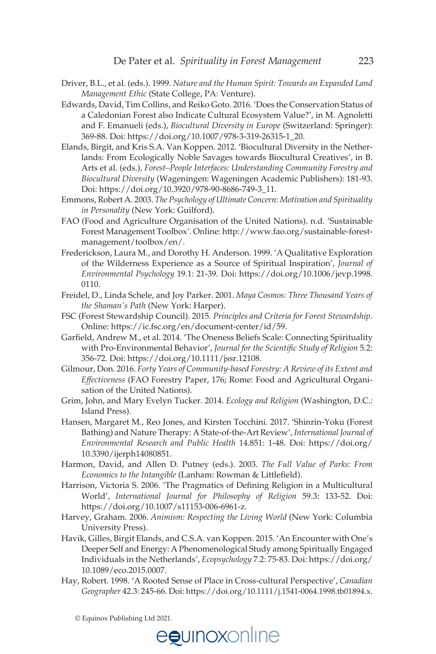- Driver, B.L., et al. (eds.). 1999. *Nature and the Human Spirit: Towards an Expanded Land Management Ethic* (State College, PA: Venture).
- Edwards, David, Tim Collins, and Reiko Goto. 2016. 'Does the Conservation Status of a Caledonian Forest also Indicate Cultural Ecosystem Value?', in M. Agnoletti and F. Emanueli (eds.), *Biocultural Diversity in Europe* (Switzerland: Springer): 369-88. Doi: [https://doi.org/10.1007/978-3-319-26315-1\\_20.](https://doi.org/10.1007/978-3-319-26315-1_20)
- Elands, Birgit, and Kris S.A. Van Koppen. 2012. 'Biocultural Diversity in the Netherlands: From Ecologically Noble Savages towards Biocultural Creatives', in B. Arts et al. (eds.), *Forest–People Interfaces: Understanding Community Forestry and Biocultural Diversity* (Wageningen: Wageningen Academic Publishers): 181-93. Doi: [https://doi.org/10.3920/978-90-8686-749-3\\_11](https://doi.org/10.3920/978-90-8686-749-3_11).
- Emmons, Robert A. 2003. *The Psychology of Ultimate Concern: Motivation and Spirituality in Personality* (New York: Guilford).
- FAO (Food and Agriculture Organisation of the United Nations). n.d. 'Sustainable Forest Management Toolbox'. Online: [http://www.fao.org/sustainable-forest](http://www.fao.org/sustainable-forestmanagement/toolbox/en/)[management/toolbox/en/](http://www.fao.org/sustainable-forestmanagement/toolbox/en/).
- Frederickson, Laura M., and Dorothy H. Anderson. 1999. 'A Qualitative Exploration of the Wilderness Experience as a Source of Spiritual Inspiration', *Journal of Environmental Psychology* 19.1: 21-39. Doi: [https://doi.org/10.1006/jevp.1998.](https://doi.org/10.1006/jevp.1998.0110)  [0110.](https://doi.org/10.1006/jevp.1998.0110)
- Freidel, D., Linda Schele, and Joy Parker. 2001. *Maya Cosmos: Three Thousand Years of the Shaman's Path* (New York: Harper).
- FSC (Forest Stewardship Council). 2015*. Principles and Criteria for Forest Stewardship*. Online: <https://ic.fsc.org/en/document-center/id/59>.
- Garfield, Andrew M., et al. 2014. 'The Oneness Beliefs Scale: Connecting Spirituality with Pro-Environmental Behavior', *Journal for the Scientilc Study of Religion* 5.2: 356-72. Doi:<https://doi.org/10.1111/jssr.12108>.
- Gilmour, Don. 2016. *Forty Years of Community-based Forestry: A Review of its Extent and Effectiveness* (FAO Forestry Paper, 176; Rome: Food and Agricultural Organisation of the United Nations).
- Grim, John, and Mary Evelyn Tucker. 2014. *Ecology and Religion* (Washington, D.C.: Island Press).
- Hansen, Margaret M., Reo Jones, and Kirsten Tocchini. 2017. 'Shinrin-Yoku (Forest Bathing) and Nature Therapy: A State-of-the-Art Review', *International Journal of Environmental Research and Public Health* 14.851: 1-48. Doi: [https://doi.org/](https://doi.org/10.3390/ijerph14080851)  [10.3390/ijerph14080851](https://doi.org/10.3390/ijerph14080851).
- Harmon, David, and Allen D. Putney (eds.). 2003. *The Full Value of Parks: From Economics to the Intangible* (Lanham: Rowman & Littlefield).
- Harrison, Victoria S. 2006. 'The Pragmatics of Defining Religion in a Multicultural World', *International Journal for Philosophy of Religion* 59.3: 133-52. Doi: <https://doi.org/10.1007/s11153-006-6961-z>.
- Harvey, Graham. 2006. *Animism: Respecting the Living World* (New York: Columbia University Press).
- Havik, Gilles, Birgit Elands, and C.S.A. van Koppen. 2015. 'An Encounter with One's Deeper Self and Energy: A Phenomenological Study among Spiritually Engaged Individuals in the Netherlands', *Ecopsychology* 7.2: 75-83. Doi: [https://doi.org/](https://doi.org/10.1089/eco.2015.0007)  [10.1089/eco.2015.0007.](https://doi.org/10.1089/eco.2015.0007)
- Hay, Robert. 1998. 'A Rooted Sense of Place in Cross-cultural Perspective', *Canadian Geographer* 42.3: 245-66. Doi: [https://doi.org/10.1111/j.1541-0064.1998.tb01894.x.](https://doi.org/10.1111/j.1541-0064.1998.tb01894.x)

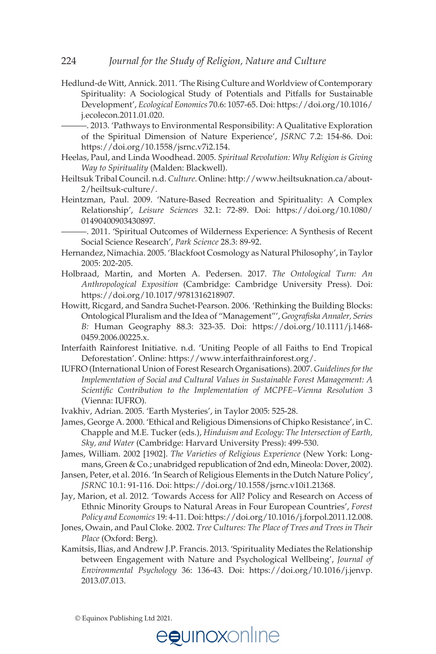Hedlund-de Witt, Annick. 2011. 'The Rising Culture and Worldview of Contemporary Spirituality: A Sociological Study of Potentials and Pitfalls for Sustainable Development', *Ecological Eonomics* 70.6: 1057-65. Doi: [https://doi.org/10.1016/](https://doi.org/10.1016/j.ecolecon.2011.01.020)  [j.ecolecon.2011.01.020](https://doi.org/10.1016/j.ecolecon.2011.01.020).

———. 2013. 'Pathways to Environmental Responsibility: A Qualitative Exploration of the Spiritual Dimension of Nature Experience', *JSRNC* 7.2: 154-86. Doi: <https://doi.org/10.1558/jsrnc.v7i2.154>.

- Heelas, Paul, and Linda Woodhead. 2005. *Spiritual Revolution: Why Religion is Giving Way to Spirituality* (Malden: Blackwell).
- Heiltsuk Tribal Council. n.d. *Culture*. Online: [http://www.heiltsuknation.ca/about-](http://www.heiltsuknation.ca/about-2/heiltsuk-culture/)[2/heiltsuk-culture/](http://www.heiltsuknation.ca/about-2/heiltsuk-culture/).
- Heintzman, Paul. 2009. 'Nature-Based Recreation and Spirituality: A Complex Relationship', *Leisure Sciences* 32.1: 72-89. Doi: [https://doi.org/10.1080/](https://doi.org/10.1080/01490400903430897)  [01490400903430897](https://doi.org/10.1080/01490400903430897).

———. 2011. 'Spiritual Outcomes of Wilderness Experience: A Synthesis of Recent Social Science Research', *Park Science* 28.3: 89-92.

- Hernandez, Nimachia. 2005. 'Blackfoot Cosmology as Natural Philosophy', in Taylor 2005: 202-205.
- Holbraad, Martin, and Morten A. Pedersen. 2017. *The Ontological Turn: An Anthropological Exposition* (Cambridge: Cambridge University Press). Doi: [https://doi.org/10.1017/9781316218907.](https://doi.org/10.1017/9781316218907)
- Howitt, Ricgard, and Sandra Suchet-Pearson. 2006. 'Rethinking the Building Blocks: Ontological Pluralism and the Idea of "Management"', *Geogralska Annaler, Series B:* Human Geography 88.3: 323-35. Doi: [https://doi.org/10.1111/j.1468-](https://doi.org/10.1111/j.1468-0459.2006.00225.x) [0459.2006.00225.x](https://doi.org/10.1111/j.1468-0459.2006.00225.x).
- Interfaith Rainforest Initiative. n.d. 'Uniting People of all Faiths to End Tropical Deforestation'. Online: <https://www.interfaithrainforest.org/>.
- IUFRO (International Union of Forest Research Organisations). 2007. *Guidelines for the Implementation of Social and Cultural Values in Sustainable Forest Management: A Scientilc Contribution to the Implementation of MCPFE–Vienna Resolution 3* (Vienna: IUFRO).
- Ivakhiv, Adrian. 2005. 'Earth Mysteries', in Taylor 2005: 525-28.
- James, George A. 2000. 'Ethical and Religious Dimensions of Chipko Resistance', in C. Chapple and M.E. Tucker (eds.), *Hinduism and Ecology: The Intersection of Earth, Sky, and Water* (Cambridge: Harvard University Press): 499-530.
- James, William. 2002 [1902]. *The Varieties of Religious Experience* (New York: Longmans, Green & Co.; unabridged republication of 2nd edn, Mineola: Dover, 2002).
- Jansen, Peter, et al. 2016. 'In Search of Religious Elements in the Dutch Nature Policy', *JSRNC* 10.1: 91-116. Doi: [https://doi.org/10.1558/jsrnc.v10i1.21368.](https://doi.org/10.1558/jsrnc.v10i1.21368)
- Jay, Marion, et al. 2012. 'Towards Access for All? Policy and Research on Access of Ethnic Minority Groups to Natural Areas in Four European Countries', *Forest Policy and Economics* 19: 4-11. Doi: [https://doi.org/10.1016/j.forpol.2011.12.008.](https://doi.org/10.1016/j.forpol.2011.12.008)
- Jones, Owain, and Paul Cloke. 2002. *Tree Cultures: The Place of Trees and Trees in Their Place* (Oxford: Berg).
- Kamitsis, Ilias, and Andrew J.P. Francis. 2013. 'Spirituality Mediates the Relationship between Engagement with Nature and Psychological Wellbeing', *Journal of Environmental Psychology* 36: 136-43. Doi: [https://doi.org/10.1016/j.jenvp.](https://doi.org/10.1016/j.jenvp.2013.07.013)  [2013.07.013](https://doi.org/10.1016/j.jenvp.2013.07.013).

© Equinox Publishing Ltd 2021.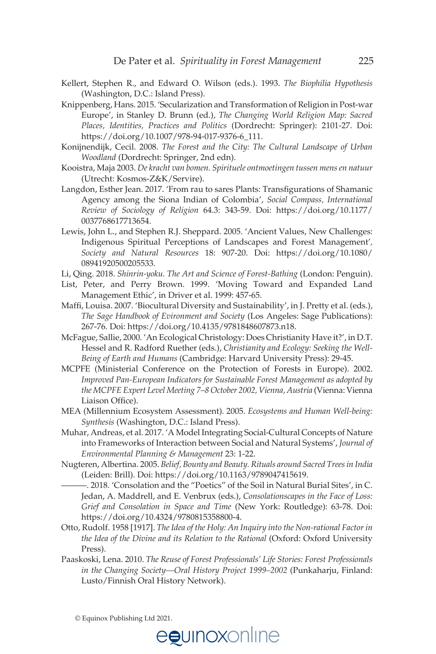- Kellert, Stephen R., and Edward O. Wilson (eds.). 1993. *The Biophilia Hypothesis* (Washington, D.C.: Island Press).
- Knippenberg, Hans. 2015. 'Secularization and Transformation of Religion in Post-war Europe', in Stanley D. Brunn (ed.), *The Changing World Religion Map: Sacred Places, Identities, Practices and Politics* (Dordrecht: Springer): 2101-27. Doi: [https://doi.org/10.1007/978-94-017-9376-6\\_111](https://doi.org/10.1007/978-94-017-9376-6_111).
- Konijnendijk, Cecil. 2008. *The Forest and the City: The Cultural Landscape of Urban Woodland* (Dordrecht: Springer, 2nd edn).
- Kooistra, Maja 2003. *De kracht van bomen. Spirituele ontmoetingen tussen mens en natuur* (Utrecht: Kosmos-Z&K/Servire).
- Langdon, Esther Jean. 2017. 'From rau to sares Plants: Translgurations of Shamanic Agency among the Siona Indian of Colombia', *Social Compass, International Review of Sociology of Religion* 64.3: 343-59. Doi: [https://doi.org/10.1177/](https://doi.org/10.1177/0037768617713654)  [0037768617713654](https://doi.org/10.1177/0037768617713654).
- Lewis, John L., and Stephen R.J. Sheppard. 2005. 'Ancient Values, New Challenges: Indigenous Spiritual Perceptions of Landscapes and Forest Management'*, Society and Natural Resources* 18: 907-20. Doi: [https://doi.org/10.1080/](https://doi.org/10.1080/08941920500205533)  [08941920500205533](https://doi.org/10.1080/08941920500205533).
- Li, Qing. 2018. *Shinrin-yoku. The Art and Science of Forest-Bathing* (London: Penguin).
- List, Peter, and Perry Brown. 1999. 'Moving Toward and Expanded Land Management Ethic', in Driver et al. 1999: 457-65.
- Maffi, Louisa. 2007. 'Biocultural Diversity and Sustainability', in J. Pretty et al. (eds.), *The Sage Handbook of Evironment and Society* (Los Angeles: Sage Publications): 267-76. Doi:<https://doi.org/10.4135/9781848607873.n18>.
- McFague, Sallie, 2000. 'An Ecological Christology: Does Christianity Have it?', in D.T. Hessel and R. Radford Ruether (eds.), *Christianity and Ecology: Seeking the Well-Being of Earth and Humans* (Cambridge: Harvard University Press): 29-45.
- MCPFE (Ministerial Conference on the Protection of Forests in Europe). 2002. *Improved Pan-European Indicators for Sustainable Forest Management as adopted by the MCPFE Expert Level Meeting 7–8 October 2002, Vienna, Austria* (Vienna: Vienna Liaison Office).
- MEA (Millennium Ecosystem Assessment). 2005. *Ecosystems and Human Well-being: Synthesis* (Washington, D.C.: Island Press).
- Muhar, Andreas, et al. 2017. 'A Model Integrating Social-Cultural Concepts of Nature into Frameworks of Interaction between Social and Natural Systems', *Journal of Environmental Planning & Management* 23: 1-22.
- Nugteren, Albertina. 2005. *Belief, Bounty and Beauty. Rituals around Sacred Trees in India* (Leiden: Brill). Doi: [https://doi.org/10.1163/9789047415619.](https://doi.org/10.1163/9789047415619)

———. 2018. 'Consolation and the "Poetics" of the Soil in Natural Burial Sites', in C. Jedan, A. Maddrell, and E. Venbrux (eds.), *Consolationscapes in the Face of Loss: Grief and Consolation in Space and Time* (New York: Routledge): 63-78. Doi: <https://doi.org/10.4324/9780815358800-4>.

- Otto, Rudolf. 1958 [1917]. *The Idea of the Holy: An Inquiry into the Non-rational Factor in the Idea of the Divine and its Relation to the Rational* (Oxford: Oxford University Press).
- Paaskoski, Lena. 2010. *The Reuse of Forest Professionals' Life Stories: Forest Professionals in the Changing Society—Oral History Project 1999–2002* (Punkaharju, Finland: Lusto/Finnish Oral History Network).

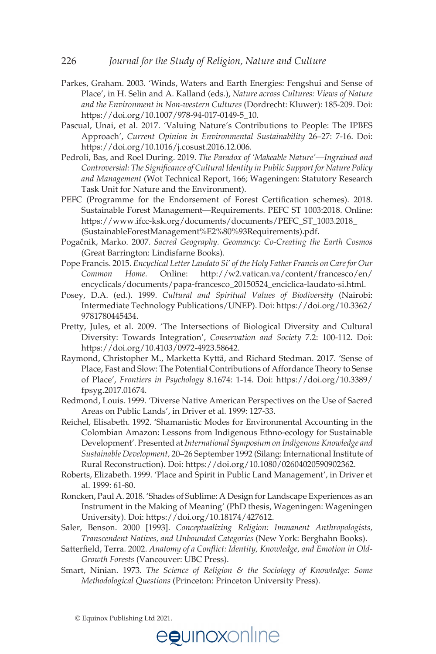- Parkes, Graham. 2003. 'Winds, Waters and Earth Energies: Fengshui and Sense of Place', in H. Selin and A. Kalland (eds.), *Nature across Cultures: Views of Nature and the Environment in Non-western Cultures* (Dordrecht: Kluwer): 185-209. Doi: [https://doi.org/10.1007/978-94-017-0149-5\\_10](https://doi.org/10.1007/978-94-017-0149-5_10).
- Pascual, Unai, et al. 2017. 'Valuing Nature's Contributions to People: The IPBES Approach', *Current Opinion in Environmental Sustainability* 26–27: 7-16. Doi: <https://doi.org/10.1016/j.cosust.2016.12.006>.
- Pedroli, Bas, and Roel During. 2019. *The Paradox of 'Makeable Nature'—Ingrained and Controversial: The Signilcance of Cultural Identity in Public Support for Nature Policy and Management* (Wot Technical Report, 166; Wageningen: Statutory Research Task Unit for Nature and the Environment).
- PEFC (Programme for the Endorsement of Forest Certification schemes). 2018. Sustainable Forest Management—Requirements. PEFC ST 1003:2018. Online: [https://www.ifcc-ksk.org/documents/documents/PEFC\\_ST\\_1003.2018\\_](https://www.ifcc-ksk.org/documents/documents/PEFC_ST_1003.2018_(SustainableForestManagement%E2%80%93Requirements).pdf) [\(SustainableForestManagement%E2%80%93Requirements\).pdf.](https://www.ifcc-ksk.org/documents/documents/PEFC_ST_1003.2018_(SustainableForestManagement%E2%80%93Requirements).pdf)
- Pogačnik, Marko. 2007. *Sacred Geography. Geomancy: Co-Creating the Earth Cosmos* (Great Barrington: Lindisfarne Books).
- Pope Francis. 2015. *Encyclical Letter Laudato Si' of the Holy Father Francis on Care for Our Common Home.* Online: [http://w2.vatican.va/content/francesco/en/](http://w2.vatican.va/content/francesco/en/encyclicals/documents/papa-francesco_20150524_enciclica-laudato-si.html)  [encyclicals/documents/papa-francesco\\_20150524\\_enciclica-laudato-si.html](http://w2.vatican.va/content/francesco/en/encyclicals/documents/papa-francesco_20150524_enciclica-laudato-si.html).
- Posey, D.A. (ed.). 1999. *Cultural and Spiritual Values of Biodiversity* (Nairobi: Intermediate Technology Publications/UNEP). Doi: [https://doi.org/10.3362/](https://doi.org/10.3362/9781780445434)  [9781780445434](https://doi.org/10.3362/9781780445434).
- Pretty, Jules, et al. 2009. 'The Intersections of Biological Diversity and Cultural Diversity: Towards Integration', *Conservation and Society* 7.2: 100-112. Doi: [https://doi.org/10.4103/0972-4923.58642.](https://doi.org/10.4103/0972-4923.58642)
- Raymond, Christopher M., Marketta Kyttä, and Richard Stedman. 2017. 'Sense of Place, Fast and Slow: The Potential Contributions of Affordance Theory to Sense of Place', *Frontiers in Psychology* 8.1674: 1-14. Doi: [https://doi.org/10.3389/](https://doi.org/10.3389/fpsyg.2017.01674)  [fpsyg.2017.01674.](https://doi.org/10.3389/fpsyg.2017.01674)
- Redmond, Louis. 1999. 'Diverse Native American Perspectives on the Use of Sacred Areas on Public Lands', in Driver et al. 1999: 127-33.
- Reichel, Elisabeth. 1992. 'Shamanistic Modes for Environmental Accounting in the Colombian Amazon: Lessons from Indigenous Ethno-ecology for Sustainable Development'. Presented at *International Symposium on Indigenous Knowledge and Sustainable Development,* 20–26 September 1992 (Silang: International Institute of Rural Reconstruction). Doi: [https://doi.org/10.1080/02604020590902362.](https://doi.org/10.1080/02604020590902362)
- Roberts, Elizabeth. 1999. 'Place and Spirit in Public Land Management', in Driver et al. 1999: 61-80.
- Roncken, Paul A. 2018. 'Shades of Sublime: A Design for Landscape Experiences as an Instrument in the Making of Meaning' (PhD thesis, Wageningen: Wageningen University). Doi: [https://doi.org/10.18174/427612.](https://doi.org/10.18174/427612)
- Saler, Benson. 2000 [1993]. *Conceptualizing Religion: Immanent Anthropologists, Transcendent Natives, and Unbounded Categories* (New York: Berghahn Books).
- Satterfield, Terra. 2002. Anatomy of a Conflict: Identity, Knowledge, and Emotion in Old-*Growth Forests* (Vancouver: UBC Press).
- Smart, Ninian. 1973. *The Science of Religion & the Sociology of Knowledge: Some Methodological Questions* (Princeton: Princeton University Press).

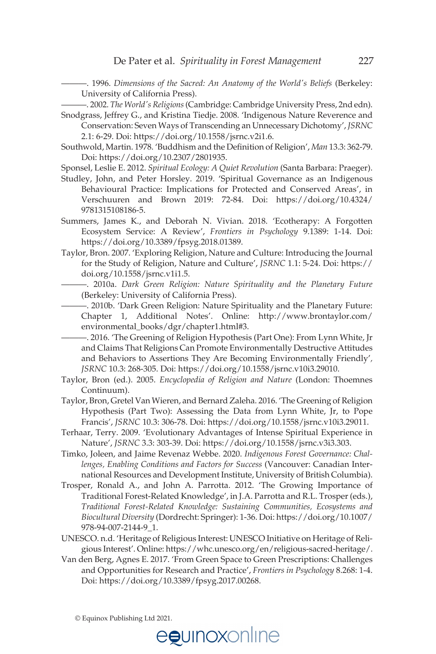———. 1996. *Dimensions of the Sacred: An Anatomy of the World's Beliefs* (Berkeley: University of California Press).

———. 2002. *The World's Religions* (Cambridge: Cambridge University Press, 2nd edn).

Snodgrass, Jeffrey G., and Kristina Tiedje. 2008. 'Indigenous Nature Reverence and Conservation: Seven Ways of Transcending an Unnecessary Dichotomy', *JSRNC* 2.1: 6-29. Doi: [https://doi.org/10.1558/jsrnc.v2i1.6.](https://doi.org/10.1558/jsrnc.v2i1.6)

Southwold, Martin. 1978. 'Buddhism and the Definition of Religion', *Man* 13.3: 362-79. Doi: <https://doi.org/10.2307/2801935>.

Sponsel, Leslie E. 2012. *Spiritual Ecology: A Quiet Revolution* (Santa Barbara: Praeger).

Studley, John, and Peter Horsley. 2019. 'Spiritual Governance as an Indigenous Behavioural Practice: Implications for Protected and Conserved Areas', in Verschuuren and Brown 2019: 72-84. Doi: [https://doi.org/10.4324/](https://doi.org/10.4324/9781315108186-5)  [9781315108186-5](https://doi.org/10.4324/9781315108186-5).

Summers, James K., and Deborah N. Vivian. 2018. 'Ecotherapy: A Forgotten Ecosystem Service: A Review', *Frontiers in Psychology* 9.1389: 1-14. Doi: <https://doi.org/10.3389/fpsyg.2018.01389>.

Taylor, Bron. 2007. 'Exploring Religion, Nature and Culture: Introducing the Journal for the Study of Religion, Nature and Culture', *JSRNC* 1.1: 5-24. Doi: [https://](https://doi.org/10.1558/jsrnc.v1i1.5)  [doi.org/10.1558/jsrnc.v1i1.5](https://doi.org/10.1558/jsrnc.v1i1.5).

———. 2010a. *Dark Green Religion: Nature Spirituality and the Planetary Future* (Berkeley: University of California Press).

———. 2010b. 'Dark Green Religion: Nature Spirituality and the Planetary Future: Chapter 1, Additional Notes'. Online: [http://www.brontaylor.com/](http://www.brontaylor.com/environmental_books/dgr/chapter1.html#3)  [environmental\\_books/dgr/chapter1.html#3](http://www.brontaylor.com/environmental_books/dgr/chapter1.html#3).

———. 2016. 'The Greening of Religion Hypothesis (Part One): From Lynn White, Jr and Claims That Religions Can Promote Environmentally Destructive Attitudes and Behaviors to Assertions They Are Becoming Environmentally Friendly'*, JSRNC* 10.3: 268-305. Doi: <https://doi.org/10.1558/jsrnc.v10i3.29010>.

- Taylor, Bron (ed.). 2005. *Encyclopedia of Religion and Nature* (London: Thoemnes Continuum).
- Taylor, Bron, Gretel Van Wieren, and Bernard Zaleha. 2016. 'The Greening of Religion Hypothesis (Part Two): Assessing the Data from Lynn White, Jr, to Pope Francis', *JSRNC* 10.3: 306-78. Doi: [https://doi.org/10.1558/jsrnc.v10i3.29011.](https://doi.org/10.1558/jsrnc.v10i3.29011)
- Terhaar, Terry. 2009. 'Evolutionary Advantages of Intense Spiritual Experience in Nature', *JSRNC* 3.3: 303-39. Doi: <https://doi.org/10.1558/jsrnc.v3i3.303>.
- Timko, Joleen, and Jaime Revenaz Webbe. 2020. *Indigenous Forest Governance: Challenges, Enabling Conditions and Factors for Success* (Vancouver: Canadian International Resources and Development Institute, University of British Columbia).
- Trosper, Ronald A., and John A. Parrotta. 2012. 'The Growing Importance of Traditional Forest-Related Knowledge', in J.A. Parrotta and R.L. Trosper (eds.), *Traditional Forest-Related Knowledge: Sustaining Communities, Ecosystems and Biocultural Diversity* (Dordrecht: Springer): 1-36. Doi: [https://doi.org/10.1007/](https://doi.org/10.1007/978-94-007-2144-9_1)  [978-94-007-2144-9\\_1](https://doi.org/10.1007/978-94-007-2144-9_1).
- UNESCO. n.d. 'Heritage of Religious Interest: UNESCO Initiative on Heritage of Religious Interest'. Online: [https://whc.unesco.org/en/religious-sacred-heritage/.](https://whc.unesco.org/en/religious-sacred-heritage/)
- Van den Berg, Agnes E. 2017. 'From Green Space to Green Prescriptions: Challenges and Opportunities for Research and Practice', *Frontiers in Psychology* 8.268: 1-4. Doi: <https://doi.org/10.3389/fpsyg.2017.00268>.